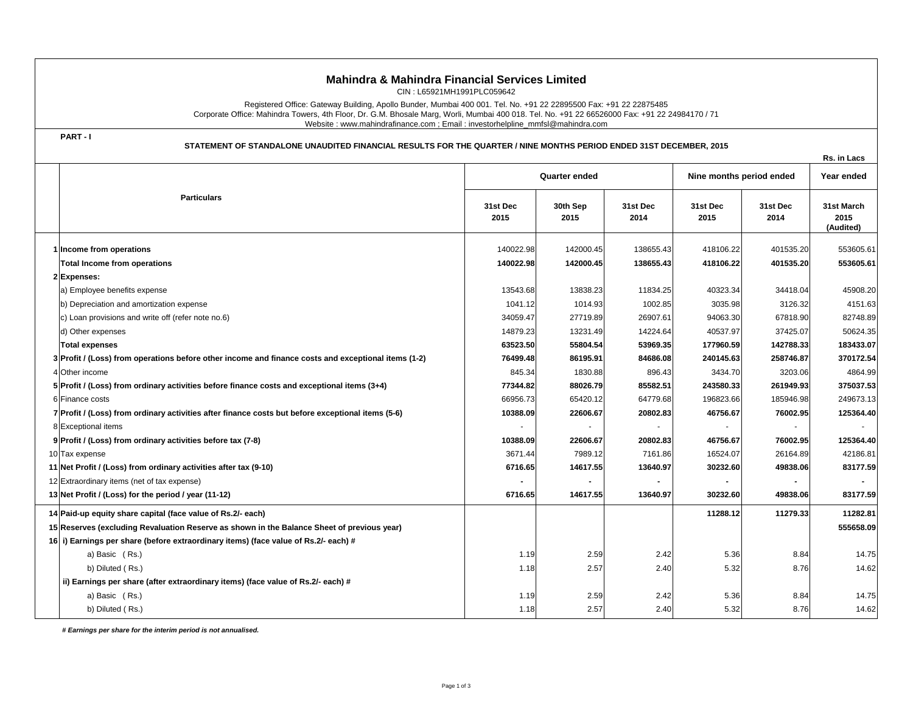## **Mahindra & Mahindra Financial Services Limited**

CIN : L65921MH1991PLC059642

Registered Office: Gateway Building, Apollo Bunder, Mumbai 400 001. Tel. No. +91 22 22895500 Fax: +91 22 22875485 Corporate Office: Mahindra Towers, 4th Floor, Dr. G.M. Bhosale Marg, Worli, Mumbai 400 018. Tel. No. +91 22 66526000 Fax: +91 22 24984170 / 71 Website : www.mahindrafinance.com ; Email : investorhelpline\_mmfsl@mahindra.com

**PART - I**

**STATEMENT OF STANDALONE UNAUDITED FINANCIAL RESULTS FOR THE QUARTER / NINE MONTHS PERIOD ENDED 31ST DECEMBER, 2015**

|  |                                                                                                     |                      |                  |                  |                          |                  | Rs. in Lacs                     |
|--|-----------------------------------------------------------------------------------------------------|----------------------|------------------|------------------|--------------------------|------------------|---------------------------------|
|  | <b>Particulars</b>                                                                                  | <b>Quarter ended</b> |                  |                  | Nine months period ended |                  | Year ended                      |
|  |                                                                                                     | 31st Dec<br>2015     | 30th Sep<br>2015 | 31st Dec<br>2014 | 31st Dec<br>2015         | 31st Dec<br>2014 | 31st March<br>2015<br>(Audited) |
|  | 1 Income from operations                                                                            | 140022.98            | 142000.45        | 138655.43        | 418106.22                | 401535.20        | 553605.61                       |
|  | <b>Total Income from operations</b>                                                                 | 140022.98            | 142000.45        | 138655.43        | 418106.22                | 401535.20        | 553605.61                       |
|  | 2 Expenses:                                                                                         |                      |                  |                  |                          |                  |                                 |
|  | a) Employee benefits expense                                                                        | 13543.68             | 13838.23         | 11834.25         | 40323.34                 | 34418.04         | 45908.20                        |
|  | b) Depreciation and amortization expense                                                            | 1041.12              | 1014.93          | 1002.85          | 3035.98                  | 3126.32          | 4151.63                         |
|  | c) Loan provisions and write off (refer note no.6)                                                  | 34059.47             | 27719.89         | 26907.61         | 94063.30                 | 67818.90         | 82748.89                        |
|  | d) Other expenses                                                                                   | 14879.23             | 13231.49         | 14224.64         | 40537.97                 | 37425.07         | 50624.35                        |
|  | <b>Total expenses</b>                                                                               | 63523.50             | 55804.54         | 53969.35         | 177960.59                | 142788.33        | 183433.07                       |
|  | 3 Profit / (Loss) from operations before other income and finance costs and exceptional items (1-2) | 76499.48             | 86195.91         | 84686.08         | 240145.63                | 258746.87        | 370172.54                       |
|  | 4 Other income                                                                                      | 845.34               | 1830.88          | 896.43           | 3434.70                  | 3203.06          | 4864.99                         |
|  | 5 Profit / (Loss) from ordinary activities before finance costs and exceptional items (3+4)         | 77344.82             | 88026.79         | 85582.51         | 243580.33                | 261949.93        | 375037.53                       |
|  | 6 Finance costs                                                                                     | 66956.73             | 65420.12         | 64779.68         | 196823.66                | 185946.98        | 249673.13                       |
|  | 7 Profit / (Loss) from ordinary activities after finance costs but before exceptional items (5-6)   | 10388.09             | 22606.67         | 20802.83         | 46756.67                 | 76002.95         | 125364.40                       |
|  | 8 Exceptional items                                                                                 |                      |                  |                  |                          |                  |                                 |
|  | 9 Profit / (Loss) from ordinary activities before tax (7-8)                                         | 10388.09             | 22606.67         | 20802.83         | 46756.67                 | 76002.95         | 125364.40                       |
|  | 10 Tax expense                                                                                      | 3671.44              | 7989.12          | 7161.86          | 16524.07                 | 26164.89         | 42186.81                        |
|  | 11 Net Profit / (Loss) from ordinary activities after tax (9-10)                                    | 6716.65              | 14617.55         | 13640.97         | 30232.60                 | 49838.06         | 83177.59                        |
|  | 12 Extraordinary items (net of tax expense)                                                         |                      |                  |                  |                          |                  |                                 |
|  | 13 Net Profit / (Loss) for the period / year (11-12)                                                | 6716.65              | 14617.55         | 13640.97         | 30232.60                 | 49838.06         | 83177.59                        |
|  | 14 Paid-up equity share capital (face value of Rs.2/- each)                                         |                      |                  |                  | 11288.12                 | 11279.33         | 11282.81                        |
|  | 15 Reserves (excluding Revaluation Reserve as shown in the Balance Sheet of previous year)          |                      |                  |                  |                          |                  | 555658.09                       |
|  | 16 i) Earnings per share (before extraordinary items) (face value of Rs.2/- each) #                 |                      |                  |                  |                          |                  |                                 |
|  | a) Basic (Rs.)                                                                                      | 1.19                 | 2.59             | 2.42             | 5.36                     | 8.84             | 14.75                           |
|  | b) Diluted (Rs.)                                                                                    | 1.18                 | 2.57             | 2.40             | 5.32                     | 8.76             | 14.62                           |
|  | ii) Earnings per share (after extraordinary items) (face value of Rs.2/- each) #                    |                      |                  |                  |                          |                  |                                 |
|  | a) Basic (Rs.)                                                                                      | 1.19                 | 2.59             | 2.42             | 5.36                     | 8.84             | 14.75                           |
|  | b) Diluted (Rs.)                                                                                    | 1.18                 | 2.57             | 2.40             | 5.32                     | 8.76             | 14.62                           |
|  |                                                                                                     |                      |                  |                  |                          |                  |                                 |

 *# Earnings per share for the interim period is not annualised.*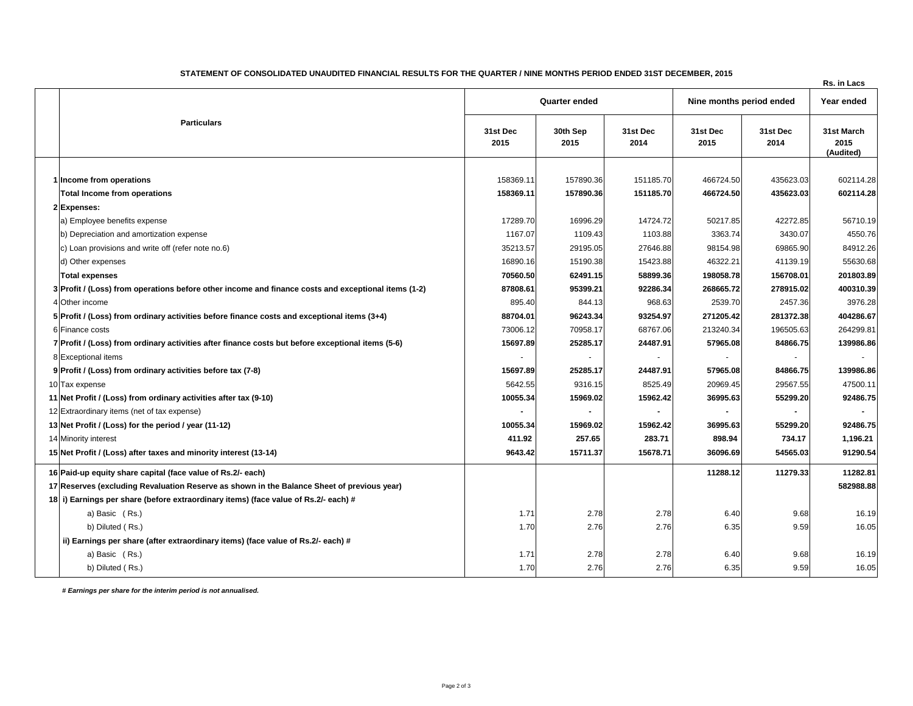| STATEMENT OF CONSOLIDATED UNAUDITED FINANCIAL RESULTS FOR THE QUARTER / NINE MONTHS PERIOD ENDED 31ST DECEMBER, 2015 |                          |                    |  |  |  |  |  |
|----------------------------------------------------------------------------------------------------------------------|--------------------------|--------------------|--|--|--|--|--|
|                                                                                                                      |                          | <b>Rs. in Lacs</b> |  |  |  |  |  |
| Quarter ended                                                                                                        | Nine months period ended | Year ended         |  |  |  |  |  |

|  | <b>Particulars</b>                                                                                  | Quarter ended    |                          |                  | Nine months period ended |                  | Year ended                      |  |
|--|-----------------------------------------------------------------------------------------------------|------------------|--------------------------|------------------|--------------------------|------------------|---------------------------------|--|
|  |                                                                                                     | 31st Dec<br>2015 | 30th Sep<br>2015         | 31st Dec<br>2014 | 31st Dec<br>2015         | 31st Dec<br>2014 | 31st March<br>2015<br>(Audited) |  |
|  |                                                                                                     |                  |                          |                  |                          |                  |                                 |  |
|  | 1 Income from operations                                                                            | 158369.11        | 157890.36                | 151185.70        | 466724.50                | 435623.03        | 602114.28                       |  |
|  | <b>Total Income from operations</b>                                                                 | 158369.11        | 157890.36                | 151185.70        | 466724.50                | 435623.03        | 602114.28                       |  |
|  | 2 Expenses:                                                                                         |                  |                          |                  |                          |                  |                                 |  |
|  | a) Employee benefits expense                                                                        | 17289.70         | 16996.29                 | 14724.72         | 50217.85                 | 42272.85         | 56710.19                        |  |
|  | b) Depreciation and amortization expense                                                            | 1167.07          | 1109.43                  | 1103.88          | 3363.74                  | 3430.07          | 4550.76                         |  |
|  | c) Loan provisions and write off (refer note no.6)                                                  | 35213.57         | 29195.05                 | 27646.88         | 98154.98                 | 69865.90         | 84912.26                        |  |
|  | d) Other expenses                                                                                   | 16890.16         | 15190.38                 | 15423.88         | 46322.21                 | 41139.19         | 55630.68                        |  |
|  | <b>Total expenses</b>                                                                               | 70560.50         | 62491.15                 | 58899.36         | 198058.78                | 156708.01        | 201803.89                       |  |
|  | 3 Profit / (Loss) from operations before other income and finance costs and exceptional items (1-2) | 87808.61         | 95399.21                 | 92286.34         | 268665.72                | 278915.02        | 400310.39                       |  |
|  | 4 Other income                                                                                      | 895.40           | 844.13                   | 968.63           | 2539.70                  | 2457.36          | 3976.28                         |  |
|  | 5 Profit / (Loss) from ordinary activities before finance costs and exceptional items (3+4)         | 88704.01         | 96243.34                 | 93254.97         | 271205.42                | 281372.38        | 404286.67                       |  |
|  | 6 Finance costs                                                                                     | 73006.12         | 70958.17                 | 68767.06         | 213240.34                | 196505.63        | 264299.81                       |  |
|  | 7 Profit / (Loss) from ordinary activities after finance costs but before exceptional items (5-6)   | 15697.89         | 25285.17                 | 24487.91         | 57965.08                 | 84866.75         | 139986.86                       |  |
|  | 8 Exceptional items                                                                                 |                  | $\overline{\phantom{a}}$ |                  |                          |                  |                                 |  |
|  | 9 Profit / (Loss) from ordinary activities before tax (7-8)                                         | 15697.89         | 25285.17                 | 24487.91         | 57965.08                 | 84866.75         | 139986.86                       |  |
|  | 10 Tax expense                                                                                      | 5642.55          | 9316.15                  | 8525.49          | 20969.45                 | 29567.55         | 47500.11                        |  |
|  | 11 Net Profit / (Loss) from ordinary activities after tax (9-10)                                    | 10055.34         | 15969.02                 | 15962.42         | 36995.63                 | 55299.20         | 92486.75                        |  |
|  | 12 Extraordinary items (net of tax expense)                                                         |                  | $\blacksquare$           |                  |                          |                  |                                 |  |
|  | 13 Net Profit / (Loss) for the period / year (11-12)                                                | 10055.34         | 15969.02                 | 15962.42         | 36995.63                 | 55299.20         | 92486.75                        |  |
|  | 14 Minority interest                                                                                | 411.92           | 257.65                   | 283.71           | 898.94                   | 734.17           | 1,196.21                        |  |
|  | 15 Net Profit / (Loss) after taxes and minority interest (13-14)                                    | 9643.42          | 15711.37                 | 15678.71         | 36096.69                 | 54565.03         | 91290.54                        |  |
|  | 16 Paid-up equity share capital (face value of Rs.2/- each)                                         |                  |                          |                  | 11288.12                 | 11279.33         | 11282.81                        |  |
|  | 17 Reserves (excluding Revaluation Reserve as shown in the Balance Sheet of previous year)          |                  |                          |                  |                          |                  | 582988.88                       |  |
|  | 18 i) Earnings per share (before extraordinary items) (face value of Rs.2/- each) #                 |                  |                          |                  |                          |                  |                                 |  |
|  | a) Basic (Rs.)                                                                                      | 1.71             | 2.78                     | 2.78             | 6.40                     | 9.68             | 16.19                           |  |
|  | b) Diluted (Rs.)                                                                                    | 1.70             | 2.76                     | 2.76             | 6.35                     | 9.59             | 16.05                           |  |
|  | ii) Earnings per share (after extraordinary items) (face value of Rs.2/- each) #                    |                  |                          |                  |                          |                  |                                 |  |
|  | a) Basic (Rs.)                                                                                      | 1.71             | 2.78                     | 2.78             | 6.40                     | 9.68             | 16.19                           |  |
|  | b) Diluted (Rs.)                                                                                    | 1.70             | 2.76                     | 2.76             | 6.35                     | 9.59             | 16.05                           |  |

 *# Earnings per share for the interim period is not annualised.*

 $\overline{1}$  and  $\overline{1}$  and  $\overline{1}$